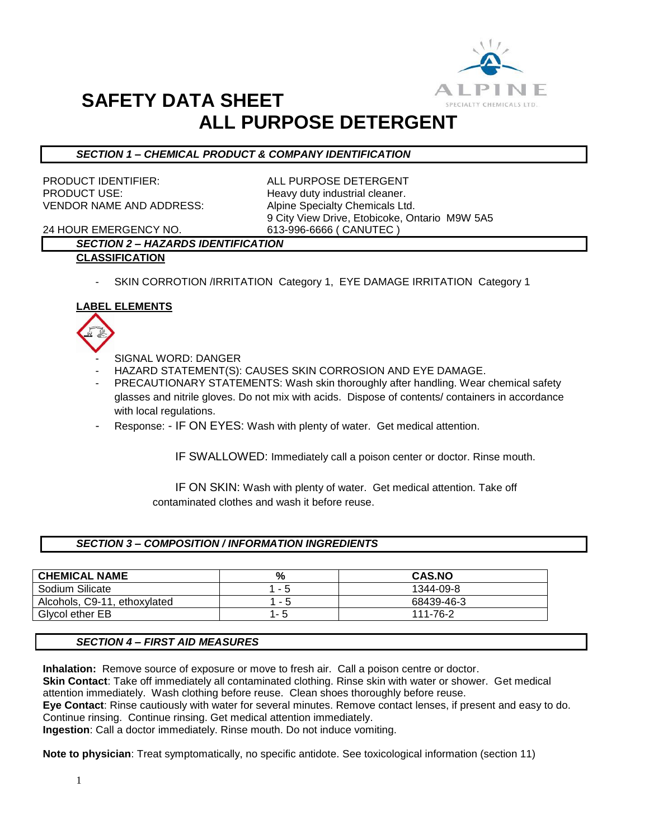

# **SAFETY DATA SHEET ALL PURPOSE DETERGENT**

## *SECTION 1 – CHEMICAL PRODUCT & COMPANY IDENTIFICATION*

PRODUCT IDENTIFIER: ALL PURPOSE DETERGENT PRODUCT USE: Neavy duty industrial cleaner. VENDOR NAME AND ADDRESS: Alpine Specialty Chemicals Ltd.

9 City View Drive, Etobicoke, Ontario M9W 5A5

24 HOUR EMERGENCY NO. 613-996-6666 ( CANUTEC )

# *SECTION 2 – HAZARDS IDENTIFICATION*

- **CLASSIFICATION**
	- SKIN CORROTION /IRRITATION Category 1, EYE DAMAGE IRRITATION Category 1

## **LABEL ELEMENTS**



- SIGNAL WORD: DANGER
- HAZARD STATEMENT(S): CAUSES SKIN CORROSION AND EYE DAMAGE.
- PRECAUTIONARY STATEMENTS: Wash skin thoroughly after handling. Wear chemical safety glasses and nitrile gloves. Do not mix with acids. Dispose of contents/ containers in accordance with local regulations.
- Response: IF ON EYES: Wash with plenty of water. Get medical attention.

IF SWALLOWED: Immediately call a poison center or doctor. Rinse mouth.

 IF ON SKIN: Wash with plenty of water. Get medical attention. Take off contaminated clothes and wash it before reuse.

#### *SECTION 3 – COMPOSITION / INFORMATION INGREDIENTS*

| <b>CHEMICAL NAME</b>         | %                             | <b>CAS.NO</b> |
|------------------------------|-------------------------------|---------------|
| Sodium Silicate              | b<br>$\tilde{\phantom{a}}$    | 1344-09-8     |
| Alcohols, C9-11, ethoxylated | 5<br>$\overline{\phantom{a}}$ | 68439-46-3    |
| Givcol ether EB              | - 5                           | 111-76-2      |

#### *SECTION 4 – FIRST AID MEASURES*

**Inhalation:** Remove source of exposure or move to fresh air. Call a poison centre or doctor. **Skin Contact**: Take off immediately all contaminated clothing. Rinse skin with water or shower. Get medical attention immediately. Wash clothing before reuse. Clean shoes thoroughly before reuse. **Eye Contact**: Rinse cautiously with water for several minutes. Remove contact lenses, if present and easy to do. Continue rinsing. Continue rinsing. Get medical attention immediately. **Ingestion**: Call a doctor immediately. Rinse mouth. Do not induce vomiting.

**Note to physician**: Treat symptomatically, no specific antidote. See toxicological information (section 11)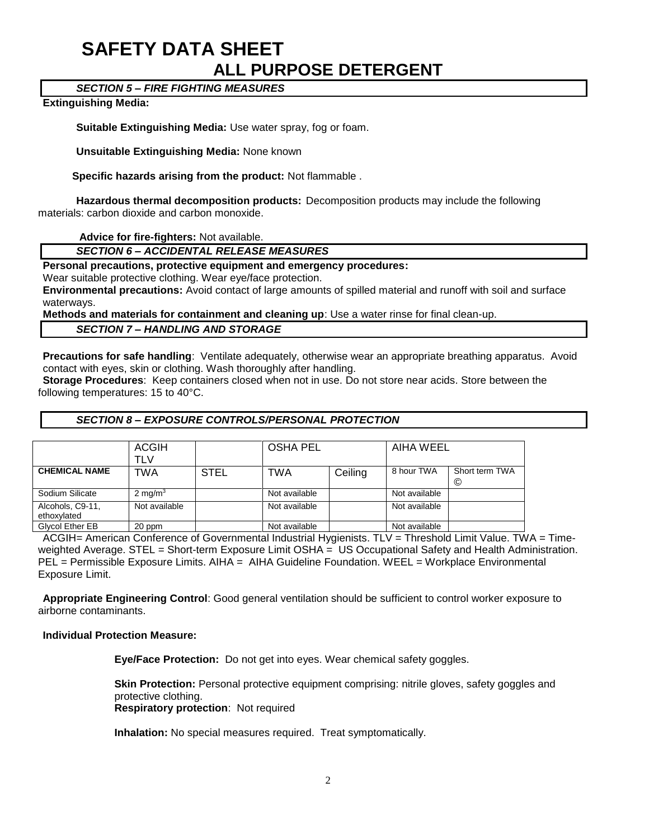# **SAFETY DATA SHEET ALL PURPOSE DETERGENT**

# *SECTION 5 – FIRE FIGHTING MEASURES*

#### **Extinguishing Media:**

**Suitable Extinguishing Media:** Use water spray, fog or foam.

**Unsuitable Extinguishing Media:** None known

 **Specific hazards arising from the product:** Not flammable .

**Hazardous thermal decomposition products:** Decomposition products may include the following materials: carbon dioxide and carbon monoxide.

**Advice for fire-fighters:** Not available.

### *SECTION 6 – ACCIDENTAL RELEASE MEASURES*

**Personal precautions, protective equipment and emergency procedures:**

Wear suitable protective clothing. Wear eye/face protection.

**Environmental precautions:** Avoid contact of large amounts of spilled material and runoff with soil and surface waterways.

**Methods and materials for containment and cleaning up**: Use a water rinse for final clean-up.

*SECTION 7 – HANDLING AND STORAGE*

**Precautions for safe handling**: Ventilate adequately, otherwise wear an appropriate breathing apparatus. Avoid contact with eyes, skin or clothing. Wash thoroughly after handling.

**Storage Procedures**: Keep containers closed when not in use. Do not store near acids. Store between the following temperatures: 15 to 40°C.

#### *SECTION 8 – EXPOSURE CONTROLS/PERSONAL PROTECTION*

|                                 | <b>ACGIH</b><br>TLV |             | <b>OSHA PEL</b> |         | AIHA WEEL     |                     |
|---------------------------------|---------------------|-------------|-----------------|---------|---------------|---------------------|
| <b>CHEMICAL NAME</b>            | TWA                 | <b>STEL</b> | TWA             | Ceiling | 8 hour TWA    | Short term TWA<br>C |
| Sodium Silicate                 | 2 mg/m <sup>3</sup> |             | Not available   |         | Not available |                     |
| Alcohols, C9-11,<br>ethoxylated | Not available       |             | Not available   |         | Not available |                     |
| Glycol Ether EB                 | 20 ppm              |             | Not available   |         | Not available |                     |

ACGIH= American Conference of Governmental Industrial Hygienists. TLV = Threshold Limit Value. TWA = Timeweighted Average. STEL = Short-term Exposure Limit OSHA = US Occupational Safety and Health Administration. PEL = Permissible Exposure Limits. AIHA = AIHA Guideline Foundation. WEEL = Workplace Environmental Exposure Limit.

**Appropriate Engineering Control**: Good general ventilation should be sufficient to control worker exposure to airborne contaminants.

#### **Individual Protection Measure:**

**Eye/Face Protection:** Do not get into eyes. Wear chemical safety goggles.

**Skin Protection:** Personal protective equipment comprising: nitrile gloves, safety goggles and protective clothing. **Respiratory protection**: Not required

**Inhalation:** No special measures required. Treat symptomatically.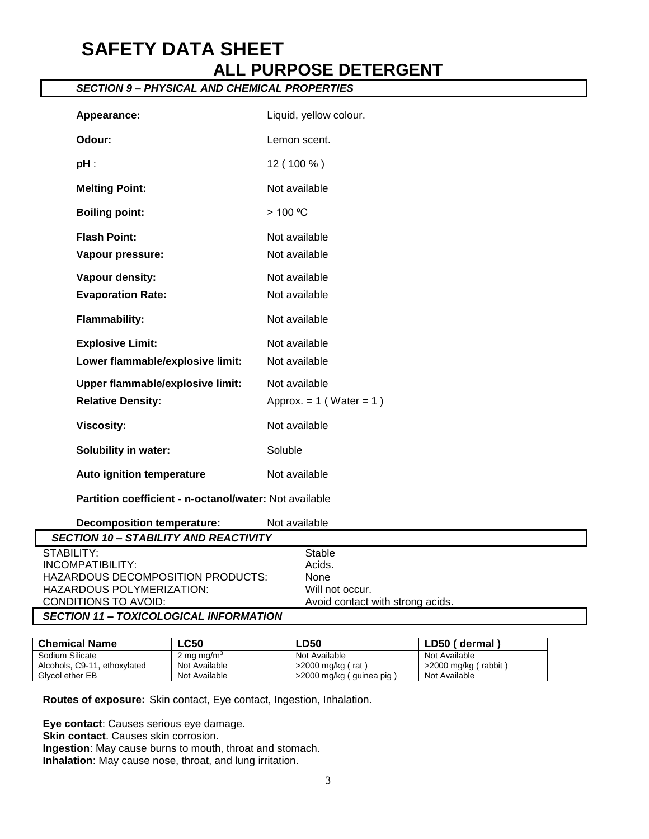# **SAFETY DATA SHEET ALL PURPOSE DETERGENT**

# *SECTION 9 – PHYSICAL AND CHEMICAL PROPERTIES* Appearance: **Liquid, yellow colour. Odour:** Lemon scent. **pH** : 12 ( 100 % ) **Melting Point:** Not available **Boiling point:** > 100 °C **Flash Point:** Not available **Vapour pressure:** Not available **Vapour density:** Not available **Evaporation Rate:** Not available **Flammability:** Not available **Explosive Limit:** Not available Lower flammable/explosive limit: Not available

| Decomposition temperature:                    | Not available                    |
|-----------------------------------------------|----------------------------------|
| <b>SECTION 10 - STABILITY AND REACTIVITY</b>  |                                  |
| STABILITY:                                    | Stable                           |
| INCOMPATIBILITY:                              | Acids.                           |
| HAZARDOUS DECOMPOSITION PRODUCTS:             | None                             |
| HAZARDOUS POLYMERIZATION:                     | Will not occur.                  |
| CONDITIONS TO AVOID:                          | Avoid contact with strong acids. |
| <b>SECTION 11 - TOXICOLOGICAL INFORMATION</b> |                                  |

| <b>Chemical Name</b>         | LC50                   | <b>LD50</b>                | LD50 (dermal         |
|------------------------------|------------------------|----------------------------|----------------------|
| Sodium Silicate              | 2 ma ma/m <sup>3</sup> | Not Available              | Not Available        |
| Alcohols, C9-11, ethoxylated | Not Available          | $>$ 2000 mg/kg (rat)       | >2000 mg/kg (rabbit) |
| Givcol ether EB              | Not Available          | >2000 mg/kg ( guinea pig ) | Not Available        |

**Routes of exposure:** Skin contact, Eye contact, Ingestion, Inhalation.

**Upper flammable/explosive limit:** Not available

**Viscosity:** Not available

**Auto ignition temperature** Not available

**Partition coefficient - n-octanol/water:** Not available

**Solubility in water:** Soluble

**Relative Density:** Approx. = 1 (Water = 1)

**Eye contact**: Causes serious eye damage. **Skin contact**. Causes skin corrosion. **Ingestion**: May cause burns to mouth, throat and stomach. **Inhalation**: May cause nose, throat, and lung irritation.